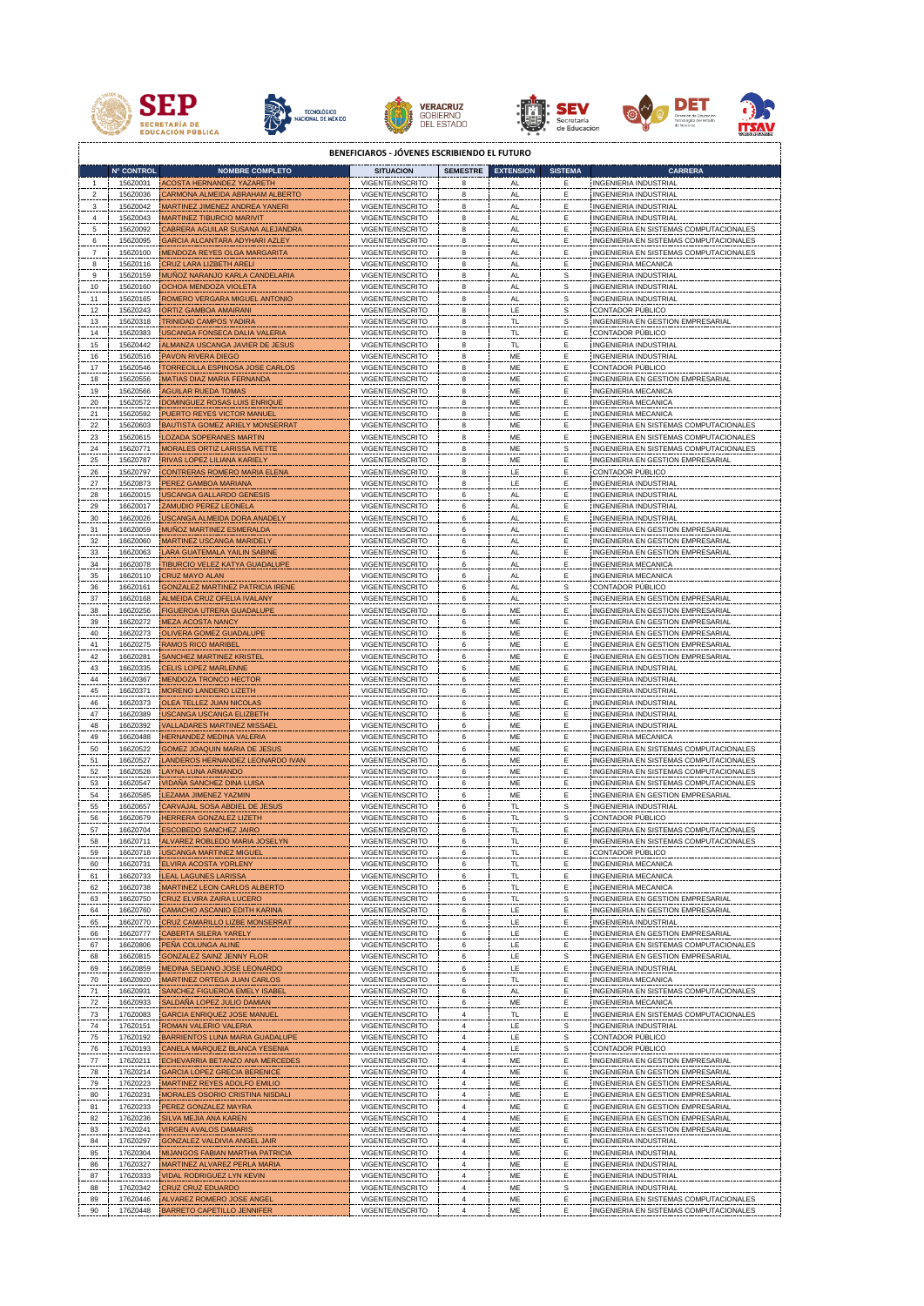











**BENEFICIAROS - JÓVENES ESCRIBIENDO EL FUTURO**

|                | <b>N° CONTROL</b>    | <b>NOMBRE COMPLETO</b>                                                | <b>SITUACION</b>                     | <b>SEMESTRE</b> | <b>EXTENSION</b>               | <b>SISTEMA</b>              | <b>CARRERA</b>                                                         |
|----------------|----------------------|-----------------------------------------------------------------------|--------------------------------------|-----------------|--------------------------------|-----------------------------|------------------------------------------------------------------------|
| 1              | 156Z0031             | ACOSTA HERNANDEZ YAZARETH                                             | VIGENTE/INSCRITO                     | 8               | AL                             | E,                          | <b>INGENIERIA INDUSTRIAL</b>                                           |
| $\overline{2}$ | 156Z0036             | CARMONA ALMEIDA ABRAHAM ALBERTO                                       | VIGENTE/INSCRITO                     | 8               | AL.                            | Ε.                          | <b>INGENIERIA INDUSTRIAL</b>                                           |
| 3              | 156Z0042             | MARTINEZ JIMENEZ ANDREA YANERI                                        | VIGENTE/INSCRITO                     | 8               | AL                             | E.                          | <b>INGENIERIA INDUSTRIAL</b>                                           |
| 4              | 156Z0043             | <b>MARTINEZ TIBURCIO MARIVIT</b>                                      | VIGENTE/INSCRITO                     | 8               | AL.                            | Ε                           | <b>INGENIERIA INDUSTRIAL</b>                                           |
| $\overline{5}$ | 156Z0092             | CABRERA AGUILAR SUSANA ALEJANDRA                                      | VIGENTE/INSCRITO                     | 8               | AL                             | Ε                           | INGENIERIA EN SISTEMAS COMPUTACIONALES                                 |
| 6              | 156Z0095             | GARCIA ALCANTARA ADYHARI AZLEY                                        | VIGENTE/INSCRITO                     | 8               | AL                             | Ε                           | INGENIERIA EN SISTEMAS COMPUTACIONALES                                 |
| $\overline{7}$ | 156Z0100             | MENDOZA REYES OLGA MARGARITA                                          | VIGENTE/INSCRITO                     | 8               | AL                             | Ε                           | INGENIERIA EN SISTEMAS COMPUTACIONALES                                 |
| 8              | 156Z0116             | CRUZ LARA LIZBETH ARELI                                               | VIGENTE/INSCRITO                     | 8               | AL                             | Ε                           | INGENIERIA MECANICA                                                    |
| $\overline{9}$ | 156Z0159             | MUÑOZ NARANJO KARLA CANDELARIA                                        | VIGENTE/INSCRITO                     | 8               | AL                             | s                           | <b>INGENIERIA INDUSTRIA</b>                                            |
| 10             | 156Z0160             | OCHOA MENDOZA VIOLETA                                                 | VIGENTE/INSCRITO                     | 8               | AL                             | $\mathbf{s}$                | <b>INGENIERIA INDUSTRIAL</b>                                           |
| 11             | 156Z0165<br>156Z0243 | <b>ROMERO VERGARA MIGUEL ANTONIO</b><br>ORTIZ GAMBOA AMAIRANI         | VIGENTE/INSCRITO                     | 8<br>8          | AL<br>LE.                      | s                           | INGENIERIA INDUSTRIAL<br>CONTADOR PÚBLICO                              |
| 12<br>13       | 156Z0318             | TRINIDAD CAMPOS YADIRA                                                | VIGENTE/INSCRITO<br>VIGENTE/INSCRITO | 8               | TL                             | $\mathbb{S}$<br>$S_{\cdot}$ | INGENIERIA EN GESTION EMPRESARIA                                       |
| 14             | 156Z0383             | USCANGA FONSECA DALIA VALERIA                                         | VIGENTE/INSCRITO                     | 8               | TL                             | Ε                           | CONTADOR PÚBLICO                                                       |
| 15             | 156Z0442             | ALMANZA USCANGA JAVIER DE JESUS                                       | VIGENTE/INSCRITO                     | 8               | TL                             | Ε                           | <b>INGENIERIA INDUSTRIAI</b>                                           |
| 16             | 156Z0516             | PAVON RIVERA DIEGO                                                    | VIGENTE/INSCRITO                     | 8               | ME                             | E                           | <b>INGENIERIA INDUSTRIA</b>                                            |
| $17\,$         | 156Z0546             | <b>TORRECILLA ESPINOSA JOSE CARLOS</b>                                | VIGENTE/INSCRITO                     | 8               | ME                             | Ε                           | CONTADOR PÚBLICO                                                       |
| 18             | 156Z0556             | MATIAS DIAZ MARIA FERNANDA                                            | VIGENTE/INSCRITO                     | 8               | ME                             | E                           | INGENIERIA EN GESTION EMPRESARIA                                       |
| 19             | 156Z0566             | AGUILAR RUEDA TOMAS                                                   | VIGENTE/INSCRITO                     | 8               | <b>ME</b>                      | Ε                           | INGENIERIA MECANICA                                                    |
| 20             | 156Z0572             | DOMINGUEZ ROSAS LUIS ENRIQUE                                          | VIGENTE/INSCRITO                     | 8               | ME                             | E                           | INGENIERIA MECANICA                                                    |
| 21             | 156Z0592             | PUERTO REYES VICTOR MANUEL                                            | VIGENTE/INSCRITO                     | 8               | ME                             | Ε                           | INGENIERIA MECANICA                                                    |
| 22             | 156Z0603             | <b>BAUTISTA GOMEZ ARIELY MONSERRA</b>                                 | VIGENTE/INSCRITO                     | 8               | ME                             | Ε                           | INGENIERIA EN SISTEMAS COMPUTACIONALES                                 |
| 23             | 156Z0615             | LOZADA SOPERANES MARTIN                                               | VIGENTE/INSCRITO                     | 8               | ME                             | Ε                           | INGENIERIA EN SISTEMAS COMPUTACIONALES                                 |
| $\frac{24}{5}$ | 156Z0771             | MORALES ORTIZ LARISSA IVETTE                                          | VIGENTE/INSCRITO                     | 8               | ME                             | $\mathbf{s}$                | INGENIERIA EN SISTEMAS COMPUTACIONALES                                 |
| 25             | 156Z0787             | RIVAS LOPEZ LILIANA KARIELY                                           | VIGENTE/INSCRITO                     | 8               | ME                             | E.                          | INGENIERIA EN GESTION EMPRESARIAL                                      |
| 26             | 156Z0797             | CONTRERAS ROMERO MARIA ELENA                                          | VIGENTE/INSCRITO                     | 8               | LE.                            | E.                          | CONTADOR PÚBLICO                                                       |
| 27             | 156Z0873             | <b>PEREZ GAMBOA MARIANA</b>                                           | VIGENTE/INSCRITO<br>VIGENTE/INSCRITO | $\bf8$<br>6     | LE                             | E.                          | <b>INGENIERIA INDUSTRIAI</b>                                           |
| 28<br>29       | 166Z0015<br>166Z0017 | <b>ISCANGA GALLARDO GENESIS</b><br>ZAMUDIO PEREZ LEONELA              | VIGENTE/INSCRITO                     | 6               | $\mathsf{AL}$<br>$\mathsf{AL}$ | E,<br>E.                    | INGENIERIA INDUSTRIAI<br><b>INGENIERIA INDUSTRIAL</b>                  |
| 30             | 166Z0026             | <b>JSCANGA ALMEIDA DORA ANADELY</b>                                   | VIGENTE/INSCRITO                     | 6               | AL.                            | E.                          | <b>INGENIERIA INDUSTRIAL</b>                                           |
| 31             | 166Z0059             | MUÑOZ MARTINEZ ESMERALDA                                              | VIGENTE/INSCRITO                     | 6               | AL                             | E.                          | INGENIERIA EN GESTION EMPRESARIAL                                      |
| 32             | 166Z0060             | MARTINEZ USCANGA MARIDELY                                             | VIGENTE/INSCRITO                     | 6               | AL                             | Ε                           | INGENIERIA EN GESTION EMPRESARIAL                                      |
| 33             | 166Z0063             | ARA GUATEMALA YAILIN SABINE                                           | VIGENTE/INSCRITO                     | 6               | AL                             | Ε                           | <b>INGENIERIA EN GESTION EMPRESARIAL</b>                               |
| 34             | 166Z0078             | TIBURCIO VELEZ KATYA GUADALUPE                                        | VIGENTE/INSCRITO                     | 6               | AL                             | Е                           | INGENIERIA MECANICA                                                    |
| 35             | 166Z0110             | CRUZ MAYO ALAN                                                        | VIGENTE/INSCRITO                     |                 | AL                             |                             | <b>INGENIERIA MECANICA</b>                                             |
| 36             | 166Z0161             | GONZALEZ MARTINEZ PATRICIA IRENE                                      | VIGENTE/INSCRITO                     | 6               | $\mathsf{AL}$                  | s                           | CONTADOR PÚBLICO                                                       |
| $\frac{37}{2}$ | 166Z0168             | ALMEIDA CRUZ OFELIA IVALANY                                           | VIGENTE/INSCRITO                     | 6               | AL                             | s                           | INGENIERIA EN GESTION EMPRESARIA                                       |
| 38             | 166Z0256             | FIGUEROA UTRERA GUADALUPE                                             | VIGENTE/INSCRITO                     | 6               | ME                             | Е                           | INGENIERIA EN GESTION EMPRESARIAL                                      |
| 39             | 166Z0272             | <b>JEZA ACOSTA NANCY</b>                                              | VIGENTE/INSCRITO                     | 6               | ME                             | Ε                           | INGENIERIA EN GESTION EMPRESARIAL                                      |
| 40             | 166Z0273             | OLIVERA GOMEZ GUADALUPE                                               | VIGENTE/INSCRITO                     | 6               | ME                             | Ε                           | INGENIERIA EN GESTION EMPRESARIAL                                      |
| 41             | 166Z0275             | RAMOS RICO MARIBEL                                                    | VIGENTE/INSCRITO                     | 6               | ME                             | Ε                           | INGENIERIA EN GESTION EMPRESARIAL                                      |
| 42.            | 166Z0281             | SANCHEZ MARTINEZ KRISTEI                                              | VIGENTE/INSCRITO                     | 6               | ME                             | Ε                           | INGENIERIA EN GESTION EMPRESARIAL                                      |
| 43             | 166Z0335             | <b>ELIS LOPEZ MARLENNE</b>                                            | VIGENTE/INSCRITO                     | 6               | ME                             | Ε                           | INGENIERIA INDUSTRIAI                                                  |
| 44             | 166Z0367             | <b>JENDOZA TRONCO HECTOR</b>                                          | VIGENTE/INSCRITO                     | 6               | ME                             | Ε                           | <b>INGENIERIA INDUSTRIAL</b>                                           |
| 45             | 166Z0371             | <b>MORENO LANDERO LIZETH</b>                                          | VIGENTE/INSCRITO                     | 6               | ME                             | Е                           | <b>INGENIERIA INDUSTRIAL</b>                                           |
| 46             | 166Z0373             | OLEA TELLEZ JUAN NICOLAS                                              | VIGENTE/INSCRITO                     | 6               | ME                             | Ε                           | INGENIERIA INDUSTRIAL                                                  |
| 47             | 166Z0389<br>166Z0392 | <b>USCANGA USCANGA ELIZBETH</b><br><b>VALLADARES MARTINEZ MISSAEL</b> | VIGENTE/INSCRITO<br>VIGENTE/INSCRITO | 6               | ME<br><b>ME</b>                | Ε<br>Ε                      | <b>INGENIERIA INDUSTRIAL</b><br><b>INGENIERIA INDUSTRIAL</b>           |
| 48<br>49       | 166Z0488             | HERNANDEZ MEDINA VALERIA                                              | VIGENTE/INSCRITO                     | 6<br>6          | <b>ME</b>                      | E                           | INGENIERIA MECANICA                                                    |
| 50             | 166Z0522             | GOMEZ JOAQUIN MARIA DE JESUS                                          | VIGENTE/INSCRITO                     | 6               | ME                             | Ε                           | INGENIERIA EN SISTEMAS COMPUTACIONALES                                 |
| 51             | 166Z0527             | ANDEROS HERNANDEZ LEONARDO IVAN                                       | VIGENTE/INSCRITO                     | 6               | ME                             | E                           | INGENIERIA EN SISTEMAS COMPUTACIONALES                                 |
| 52             | 166Z0528             | AYNA LUNA ARMANDO                                                     | VIGENTE/INSCRITO                     | 6               | $\mathsf{ME}$                  | E,                          | INGENIERIA EN SISTEMAS COMPUTACIONALES                                 |
| 53             | 166Z0547             | <b>IDAÑA SANCHEZ DINA LUISA</b>                                       | VIGENTE/INSCRITO                     | 6               | ME                             | E,                          | INGENIERIA EN SISTEMAS COMPUTACIONALES                                 |
| 54             | 166Z0585             | <b>EZAMA JIMENEZ YAZMIN</b>                                           | VIGENTE/INSCRITO                     | 6               | ME                             | E,                          | INGENIERIA EN GESTION EMPRESARIAL                                      |
| 55             | 166Z0657             | CARVAJAL SOSA ABDIEL DE JESUS                                         | VIGENTE/INSCRITO                     | 6               | TL                             | $\mathbf{s}$                | <b>INGENIERIA INDUSTRIAL</b>                                           |
| 56             | 166Z0679             | <b>IERRERA GONZALEZ LIZETH</b>                                        | VIGENTE/INSCRITO                     | 6               | <b>TL</b>                      | $\mathbf{s}$                | CONTADOR PÚBLICO                                                       |
| 57             | 166Z0704             | ESCOBEDO SANCHEZ JAIRO                                                | VIGENTE/INSCRITO                     | 6               | TL                             | Ε                           | INGENIERIA EN SISTEMAS COMPUTACIONALES                                 |
| 58             | 166Z0711             | ALVAREZ ROBLEDO MARIA JOSELYN                                         | VIGENTE/INSCRITO                     | 6               | TL                             | Ε                           | INGENIERIA EN SISTEMAS COMPUTACIONALES                                 |
| 59             | 16670718             | <b>USCANGA MARTINEZ MIGUEL</b>                                        | VIGENTE/INSCRITO                     |                 |                                |                             | CONTADOR PÚBLICO                                                       |
| 60             | 166Z0731             | ELVIRA ACOSTA YORLENY                                                 | VIGENTE/INSCRITO                     |                 |                                |                             | <b>INGENIERIA MECANICA</b>                                             |
| 61             | 166Z0733             | <b>EAL LAGUNES LARISSA</b>                                            | VIGENTE/INSCRITO                     |                 | TL                             | Ε                           | <b>INGENIERIA MECANICA</b><br><b>INGENIERIA MECANICA</b>               |
| 62             | 166Z0738<br>166Z0750 | <b>MARTINEZ LEON CARLOS ALBERTO</b><br>CRUZ ELVIRA ZAIRA LUCERO       | VIGENTE/INSCRITO<br>VIGENTE/INSCRITO | 6               | TL<br>TL.                      | Ε                           | INGENIERIA EN GESTION EMPRESARIA                                       |
| 63<br>64       | 166Z0760             | CAMACHO ASCANIO EDITH KARINA                                          | VIGENTE/INSCRITO                     | 6               | LE.                            | S<br>Ε                      | INGENIERIA EN GESTION EMPRESARIAL                                      |
| 65             | 166Z0770             | <b>CRUZ CAMARILLO LIZBE MONSERRAT</b>                                 | VIGENTE/INSCRITO                     | 6               | LE.                            | Ε                           | <b>INGENIERIA INDUSTRIAL</b>                                           |
| 66             | 166Z0777             | CABERTA SILERA YARELY                                                 | VIGENTE/INSCRITO                     | 6               | LE.                            | Ε                           | INGENIERIA EN GESTION EMPRESARIAL                                      |
| 67             | 166Z0806             | PEÑA COLUNGA ALINE                                                    | VIGENTE/INSCRITO                     | 6               | LE.                            | E.                          | INGENIERIA EN SISTEMAS COMPUTACIONALE                                  |
| 68             | 166Z0815             | <b>GONZALEZ SAINZ JENNY FLOR</b>                                      | VIGENTE/INSCRITO                     | 6               | 뜨                              | $\mathbf{s}$                | INGENIERIA EN GESTION EMPRESARIAL                                      |
| 69             | 166Z0859             | MEDINA SEDANO JOSE LEONARDO                                           | VIGENTE/INSCRITO                     | 6               | LE.                            | Ε                           | <b>INGENIERIA INDUSTRIAL</b>                                           |
| 70             | 166Z0920             | MARTINEZ ORTEGA JUAN CARLOS                                           | VIGENTE/INSCRITO                     | 6               | 핀.                             | Ε                           | INGENIERIA MECANICA                                                    |
| 71             | 166Z0931             | SANCHEZ FIGUEROA EMELY ISABEL                                         | VIGENTE/INSCRITO                     | 6               | AL.                            | Ε                           | INGENIERIA EN SISTEMAS COMPUTACIONALES                                 |
| 72.            | 166Z0933             | SALDAÑA LOPEZ JULIO DAMIAN                                            | VIGENTE/INSCRITO                     | 6               | ME                             | Ε.                          | INGENIERIA MECANICA                                                    |
| 73             | 176Z0083             | GARCIA ENRIQUEZ JOSE MANUEL                                           | VIGENTE/INSCRITO                     | 4               | TL.                            | Ε                           | INGENIERIA EN SISTEMAS COMPUTACIONALES                                 |
| 74             | 176Z0151             | ROMAN VALERIO VALERIA                                                 | VIGENTE/INSCRITO                     | $\overline{4}$  | $\mathsf{LE}\,$                | $\mathbf{s}$                | <b>INGENIERIA INDUSTRIAI</b>                                           |
| 75             | 176Z0192             | BARRIENTOS LUNA MARIA GUADALUPI                                       | VIGENTE/INSCRITO                     | 4               | LE.                            | $\mathbf{s}$                | CONTADOR PÚBLICO                                                       |
| 76             | 176Z0193             | CANELA MARQUEZ BLANCA YESENIA                                         | VIGENTE/INSCRITO                     | 4               | $\mathsf{LE}\,$                | $\mathbf{s}$                | CONTADOR PÚBLICO                                                       |
| 77             | 176Z0211<br>176Z0214 | ECHEVARRIA BETANZO ANA MERCEDES<br>GARCIA LOPEZ GRECIA BERENICE       | VIGENTE/INSCRITO<br>VIGENTE/INSCRITO | 4<br>$\pmb{4}$  | ME<br>ME                       | E,                          | INGENIERIA EN GESTION EMPRESARIAL<br>INGENIERIA EN GESTION EMPRESARIAL |
| 78<br>79       | 176Z0223             | MARTINEZ REYES ADOLFO EMILIO                                          | VIGENTE/INSCRITO                     | 4               | ME                             | Ē<br>Ε.                     | INGENIERIA EN GESTION EMPRESARIAL                                      |
| 80             | 176Z0231             | MORALES OSORIO CRISTINA NISDALI                                       | VIGENTE/INSCRITO                     | 4               | ME                             | E.                          | INGENIERIA EN GESTION EMPRESARIAL                                      |
| 81             | 176Z0233             | PEREZ GONZALEZ MAYRA                                                  | VIGENTE/INSCRITO                     | 4               | ME                             | E.                          | INGENIERIA EN GESTION EMPRESARIAL                                      |
| 82             | 176Z0236             | SILVA MEJIA ANA KAREN                                                 | VIGENTE/INSCRITO                     | 4               | ME                             | E.                          | INGENIERIA EN GESTION EMPRESARIAL                                      |
| 83             | 176Z0241             | <b><i>IRGEN AVALOS DAMARIS</i></b>                                    | VIGENTE/INSCRITO                     | 4               | ME                             | E.                          | INGENIERIA EN GESTION EMPRESARIAL                                      |
| 84             | 176Z0297             | GONZALEZ VALDIVIA ANGEL JAIR                                          | VIGENTE/INSCRITO                     | 4               | ME                             | Ē.                          | INGENIERIA INDUSTRIAL                                                  |
| 85             | 176Z0304             | MIJANGOS FABIAN MARTHA PATRICIA                                       | VIGENTE/INSCRITO                     | 4               | ME.                            | Ε.                          | INGENIERIA INDUSTRIAL                                                  |
| 86             | 176Z0327             | MARTINEZ ALVAREZ PERLA MARIA                                          | VIGENTE/INSCRITO                     |                 | ME.                            | Ε                           | INGENIERIA INDUSTRIAL                                                  |
| 87             | 176Z0333             | <b>VIDAL RODRIGUEZ LYN KEVIN</b>                                      | VIGENTE/INSCRITO                     |                 | ME                             | Ε                           | INGENIERIA INDUSTRIAL                                                  |
| 88             | 176Z0342             | <b>CRUZ CRUZ EDUARDO</b>                                              | VIGENTE/INSCRITO                     |                 | ME                             | s                           | <b>INGENIERIA INDUSTRIAL</b>                                           |
| 89             | 176Z0446             | ALVAREZ ROMERO JOSE ANGEL                                             | VIGENTE/INSCRITO                     |                 | ME                             |                             | INGENIERIA EN SISTEMAS COMPUTACIONAL                                   |
| 90             | 176Z0448             | <b>BARRETO CAPETILLO JENNIFER</b>                                     | VIGENTE/INSCRITO                     |                 | ME                             |                             | INGENIERIA EN SISTEMAS COMPUTACIONALES                                 |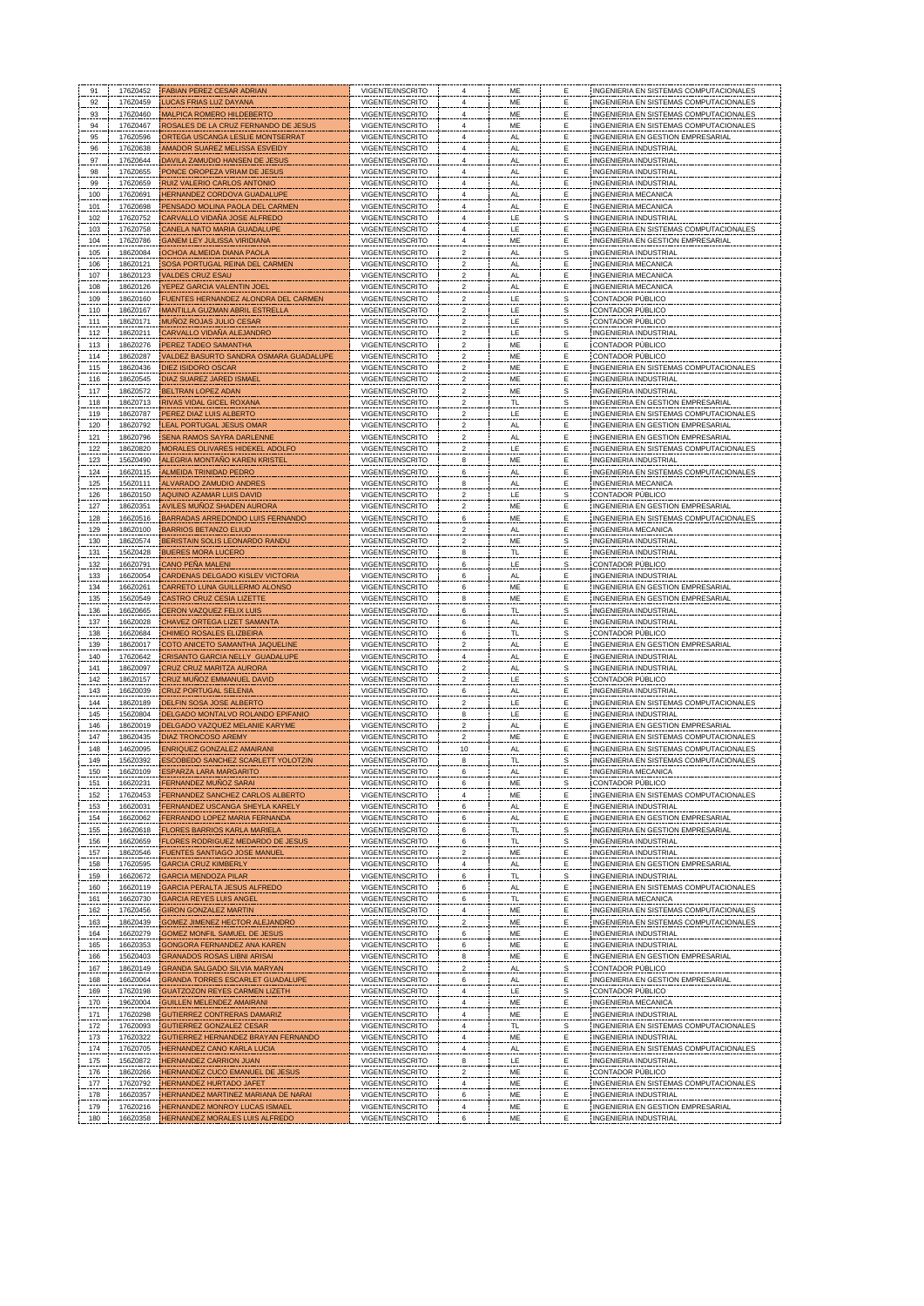| 91  | 176Z0452 | <b>FABIAN PEREZ CESAR ADRIAN</b>          | VIGENTE/INSCRITO                     |                         | ME        | Е            | <b>INGENIERIA EN SISTEMAS COMPUTACIONALES</b> |
|-----|----------|-------------------------------------------|--------------------------------------|-------------------------|-----------|--------------|-----------------------------------------------|
| 92  | 176Z0459 | <b>UCAS FRIAS LUZ DAYANA</b>              | VIGENTE/INSCRITO                     |                         | ME        |              | INGENIERIA EN SISTEMAS COMPUTACIONALES        |
| 93  | 176Z0460 | MALPICA ROMERO HILDEBERTO                 | VIGENTE/INSCRITO                     |                         | ME        |              | INGENIERIA EN SISTEMAS COMPUTACIONALES        |
|     | 176Z0467 | ROSALES DE LA CRUZ FERNANDO DE JESUS      | VIGENTE/INSCRITO                     |                         | ME        |              | INGENIERIA EN SISTEMAS COMPUTACIONALES        |
| 94  | 176Z0596 |                                           |                                      |                         |           |              |                                               |
| 95  |          | ORTEGA USCANGA LESLIE MONTSERRAT          | VIGENTE/INSCRITO                     |                         | <b>AL</b> |              | INGENIERIA EN GESTION EMPRESARIAL             |
| 96  | 176Z0638 | AMADOR SUAREZ MELISSA ESVEIDY             | VIGENTE/INSCRITO                     |                         | AL        |              | <b>INGENIERIA INDUSTRIAL</b>                  |
| 97  | 176Z0644 | DAVILA ZAMUDIO HANSEN DE JESUS            | VIGENTE/INSCRITO                     |                         | AL        | Е            | <b>INGENIERIA INDUSTRIAL</b>                  |
| 98  | 176Z0655 | PONCE OROPEZA VRIAM DE JESUS              | VIGENTE/INSCRITO                     |                         | AL        |              | INGENIERIA INDUSTRIAL                         |
| 99  | 176Z0659 | RUIZ VALERIO CARLOS ANTONIO               | VIGENTE/INSCRITO                     | 4                       | AL.       | Ε            | <b>INGENIERIA INDUSTRIAL</b>                  |
| 100 | 176Z0691 | HERNANDEZ CORDOVA GUADALUPE               | VIGENTE/INSCRITO                     |                         | AL        | Е            | INGENIERIA MECANICA                           |
| 101 | 176Z0698 | PENSADO MOLINA PAOLA DEL CARMEN           | VIGENTE/INSCRITO                     | 4                       | AL.       | Е            | <b>INGENIERIA MECANICA</b>                    |
| 102 | 176Z0752 | CARVALLO VIDAÑA JOSE ALFREDO              | VIGENTE/INSCRITO                     | $\Delta$                | LE        | S            | INGENIERIA INDUSTRIAL                         |
| 103 | 176Z0758 | CANELA NATO MARIA GUADALUPE               | VIGENTE/INSCRITO                     | 4                       | LE        | Ε            | INGENIERIA EN SISTEMAS COMPUTACIONALES        |
|     |          |                                           |                                      |                         |           | F            | INGENIERIA EN GESTION EMPRESARIAL             |
| 104 | 176Z0786 | <b>GANEM LEY JULISSA VIRIDIANA</b>        | VIGENTE/INSCRITO                     |                         | <b>ME</b> |              |                                               |
| 105 | 186Z0084 | OCHOA ALMEIDA DIANA PAOLA                 | VIGENTE/INSCRITO                     | 2                       | AL        | S            | INGENIERIA INDUSTRIAL                         |
| 106 | 186Z0121 | SOSA PORTUGAL REINA DEL CARMEN            | VIGENTE/INSCRITO                     | $\mathfrak{p}$          | AL        |              | INGENIERIA MECANICA                           |
| 107 | 186Z0123 | <b>VALDES CRUZ ESAU</b>                   | VIGENTE/INSCRITO                     | 2                       | AL.       |              | INGENIERIA MECANICA                           |
| 108 | 186Z0126 | YEPEZ GARCIA VALENTIN JOEL                | VIGENTE/INSCRITO                     | $\boldsymbol{2}$        | AL        | Ε            | INGENIERIA MECANICA                           |
| 109 | 186Z0160 | FUENTES HERNANDEZ ALONDRA DEL CARMEI      | VIGENTE/INSCRITO                     | $\mathbf 2$             | LE.       | s            | CONTADOR PÚBLICO                              |
| 110 | 186Z0167 | MANTILLA GUZMAN ABRIL ESTRELLA            | VIGENTE/INSCRITO                     | $\overline{\mathbf{c}}$ | LE        | S            | CONTADOR PÚBLICO                              |
| 111 | 186Z0171 | MUÑOZ ROJAS JULIO CESAR                   | VIGENTE/INSCRITO                     | $\boldsymbol{2}$        | LE        | S            | CONTADOR PÚBLICO                              |
| 112 | 186Z0211 | CARVALLO VIDAÑA ALEJANDRO                 | VIGENTE/INSCRITO                     | $\boldsymbol{2}$        | LE.       | $\mathbf{s}$ | INGENIERIA INDUSTRIAI                         |
| 113 | 186Z0276 | PEREZ TADEO SAMANTHA                      | VIGENTE/INSCRITO                     | $\overline{2}$          | <b>ME</b> | Ε            | CONTADOR PÚBLICO                              |
| 114 | 186Z0287 | VALDEZ BASURTO SANDRA OSMARA GUADALUPE    | VIGENTE/INSCRITO                     | $\overline{\mathbf{c}}$ | ME        | E            | CONTADOR PÚBLICO                              |
| 115 | 186Z0436 | DIEZ ISIDORO OSCAR                        | VIGENTE/INSCRITO                     | $\overline{\mathbf{c}}$ | ME        | Ε            | INGENIERIA EN SISTEMAS COMPUTACIONALES        |
|     | 186Z0545 | DIAZ SUAREZ JARED ISMAE                   | VIGENTE/INSCRITO                     | $\overline{\mathbf{c}}$ | ME        | Ε            | <b>INGENIERIA INDUSTRIAL</b>                  |
| 116 |          |                                           |                                      | $\overline{2}$          |           |              |                                               |
| 117 | 186Z0572 | BELTRAN LOPEZ ADAN                        | VIGENTE/INSCRITO                     |                         | ME        |              | <b>INGENIERIA INDUSTRIAL</b>                  |
| 118 | 186Z0713 | RIVAS VIDAL GICEL ROXANA                  | VIGENTE/INSCRITO                     | $\mathfrak{p}$          | TL        | S            | INGENIERIA EN GESTION EMPRESARIAL             |
| 119 | 186Z0787 | PEREZ DIAZ LUIS ALBERTO                   | VIGENTE/INSCRITO                     |                         | LE        |              | INGENIERIA EN SISTEMAS COMPUTACIONALE         |
| 120 | 186Z0792 | LEAL PORTUGAL JESUS OMAR                  | VIGENTE/INSCRITO                     |                         | AL        |              | INGENIERIA EN GESTION EMPRESARIAL             |
| 121 | 186Z0796 | SENA RAMOS SAYRA DARLENNE                 | VIGENTE/INSCRITO                     |                         | AL        |              | INGENIERIA EN GESTION EMPRESARIAL             |
| 122 | 186Z0820 | MORALES OLIVARES HIDEKEL ADOLFO           | VIGENTE/INSCRITO                     | 2                       | LE        |              | INGENIERIA EN SISTEMAS COMPUTACIONALES        |
| 123 | 156Z0490 | ALEGRIA MONTAÑO KAREN KRISTEL             | VIGENTE/INSCRITO                     | 8                       | ME        |              | INGENIERIA INDUSTRIAL                         |
| 124 | 166Z0115 | ALMEIDA TRINIDAD PEDRO                    | VIGENTE/INSCRITO                     | 6                       | AL.       | Е            | INGENIERIA EN SISTEMAS COMPUTACIONALES        |
| 125 | 156Z0111 | ALVARADO ZAMUDIO ANDRES                   | VIGENTE/INSCRITO                     | 8                       | AL        |              | INGENIERIA MECANICA                           |
| 126 | 186Z0150 | AQUINO AZAMAR LUIS DAVID                  | VIGENTE/INSCRITO                     | $\overline{\mathbf{c}}$ | LE        | S            | CONTADOR PÚBLICO                              |
|     | 186Z0351 | <b>AVILES MUÑOZ SHADEN AURORA</b>         | VIGENTE/INSCRITO                     | $\overline{2}$          | ME        | Ε            | INGENIERIA EN GESTION EMPRESARIA              |
| 127 |          |                                           |                                      |                         |           |              |                                               |
| 128 | 166Z0516 | BARRADAS ARREDONDO LUIS FERNANDO          | VIGENTE/INSCRITO                     | 6                       | ME        | Ε            | INGENIERIA EN SISTEMAS COMPUTACIONALES        |
| 129 | 186Z0100 | <b>BARRIOS BETANZO ELIUD</b>              | VIGENTE/INSCRITO                     | $\overline{2}$          | AL        | Ε            | INGENIERIA MECANICA                           |
| 130 | 186Z0574 | BERISTAIN SOLIS LEONARDO RANDU            | VIGENTE/INSCRITO                     | $\boldsymbol{2}$        | ME        | s            | <b>INGENIERIA INDUSTRIAL</b>                  |
| 131 | 156Z0428 | <b>BUERES MORA LUCERO</b>                 | VIGENTE/INSCRITO                     | 8                       | <b>TL</b> |              | INGENIERIA INDUSTRIAI                         |
| 132 | 166Z0791 | CANO PEÑA MALENI                          | VIGENTE/INSCRITO                     | 6                       | LE        | s            | CONTADOR PÚBLICO                              |
| 133 | 166Z0054 | CARDENAS DELGADO KISLEV VICTORIA          | VIGENTE/INSCRITO                     | 6                       | AL        | Е            | <b>INGENIERIA INDUSTRIAI</b>                  |
| 134 | 166Z0261 | CARRETO LUNA GUILLERMO ALONSO             | VIGENTE/INSCRITO                     | 6                       | ME        |              | INGENIERIA EN GESTION EMPRESARIAL             |
| 135 | 156Z0549 | CASTRO CRUZ CESIA LIZETTE                 | VIGENTE/INSCRITO                     | 8                       | ME        |              | INGENIERIA EN GESTION EMPRESARIAL             |
| 136 | 166Z0665 | <b>CERON VAZQUEZ FELIX LUIS</b>           | VIGENTE/INSCRITO                     | 6                       | <b>TL</b> | S            | INGENIERIA INDUSTRIAL                         |
| 137 | 166Z0028 | CHAVEZ ORTEGA LIZET SAMANTA               | VIGENTE/INSCRITO                     | 6                       | AL        | Ε            | <b>INGENIERIA INDUSTRIAL</b>                  |
|     |          |                                           | VIGENTE/INSCRITO                     |                         | <b>TL</b> | S            | CONTADOR PÚBLICO                              |
| 138 | 166Z0684 | CHIMEO ROSALES ELIZBEIRA                  |                                      | 6                       |           |              |                                               |
| 139 | 186Z0017 | COTO ANICETO SAMANTHA JAQUELINE           | VIGENTE/INSCRITO                     | $\overline{\mathbf{c}}$ | <b>AL</b> | Ε            | INGENIERIA EN GESTION EMPRESARIA              |
| 140 | 176Z0642 | CRISANTO GARCIA NELLY GUADALUPE           | VIGENTE/INSCRITO                     | $\pmb{4}$               | AL        | Ε            | INGENIERIA INDUSTRIAL                         |
| 141 | 186Z0097 | CRUZ CRUZ MARITZA AURORA                  | VIGENTE/INSCRITO                     | $\overline{\mathbf{c}}$ | AL.       | S            | <b>INGENIERIA INDUSTRIAI</b>                  |
| 142 | 186Z0157 | CRUZ MUÑOZ EMMANUEL DAVID                 | VIGENTE/INSCRITO                     | $\overline{\mathbf{c}}$ | LE        | S            | CONTADOR PÚBLICO                              |
| 143 | 166Z0039 | <b>CRUZ PORTUGAL SELENIA</b>              | VIGENTE/INSCRITO                     | 6                       | AL        | E            | INGENIERIA INDUSTRIAL                         |
| 144 | 186Z0189 | DELFIN SOSA JOSE ALBERTO                  | VIGENTE/INSCRITO                     |                         | LE        |              | INGENIERIA EN SISTEMAS COMPUTACIONALE         |
| 145 | 156Z0804 | DELGADO MONTALVO ROLANDO EPIFANIO         | VIGENTE/INSCRITO                     | 8                       | LE        |              | INGENIERIA INDUSTRIAL                         |
| 146 | 186Z0019 | DELGADO VAZQUEZ MELANIE KARYME            | VIGENTE/INSCRITO                     |                         | AL        |              | <b>INGENIERIA EN GESTION EMPRESARIAL</b>      |
| 147 | 186Z0435 | <b>DIAZ TRONCOSO AREMY</b>                | VIGENTE/INSCRITO                     | $\mathfrak{p}$          | ME        |              | INGENIERIA EN SISTEMAS COMPUTACIONALES        |
| 148 | 146Z0095 | ENRIQUEZ GONZALEZ AMAIRANI                | VIGENTE/INSCRITO                     | $10$                    | AL        |              | INGENIERIA EN SISTEMAS COMPUTACIONALES        |
| 149 | 156Z0392 | ESCOBEDO SANCHEZ SCARLETT YOLOTZIN        | VIGENTE/INSCRITO                     | 8                       | TL        |              | INGENIERIA EN SISTEMAS COMPUTACIONALES        |
|     | 166Z0109 | ESPARZA LARA MARGARITO                    | VIGENTE/INSCRITO                     |                         | AL        |              | INGENIERIA MECANICA                           |
| 150 | 166Z023  | RNANDEZ MUNOZ SARA                        | VIGENTE/INSCRITO                     |                         |           |              | CONTADOR PÚBLICO                              |
| 151 |          |                                           |                                      |                         | ME        |              |                                               |
| 152 | 176Z0453 | FERNANDEZ SANCHEZ CARLOS ALBERTO          | VIGENTE/INSCRITO                     |                         | ME        |              | INGENIERIA EN SISTEMAS COMPUTACIONALES        |
| 153 | 166Z0031 | FERNANDEZ USCANGA SHEYLA KARELY           | VIGENTE/INSCRITO                     | 6                       | AL.       | Ε            | INGENIERIA INDUSTRIAL                         |
| 154 | 166Z0062 | FERRANDO LOPEZ MARIA FERNANDA             | VIGENTE/INSCRITO                     | 6                       | AL        | Ε            | INGENIERIA EN GESTION EMPRESARIAL             |
| 155 | 166Z0618 | FLORES BARRIOS KARLA MARIELA              | VIGENTE/INSCRITO                     | 6                       | TL        | s            | INGENIERIA EN GESTION EMPRESARIAL             |
| 156 | 166Z0659 | FLORES RODRIGUEZ MEDARDO DE JESUS         | VIGENTE/INSCRITO                     | 6                       | TL        | S            | INGENIERIA INDUSTRIAL                         |
| 157 | 186Z0546 | FUENTES SANTIAGO JOSE MANUEL              | VIGENTE/INSCRITO                     | 2                       | ME        | Ε            | INGENIERIA INDUSTRIAL                         |
| 158 | 176Z0595 | <b>GARCIA CRUZ KIMBERLY</b>               | VIGENTE/INSCRITO                     | Δ                       | AL        | Ε            | INGENIERIA EN GESTION EMPRESARIA              |
| 159 | 166Z0672 | <b>GARCIA MENDOZA PILAR</b>               | VIGENTE/INSCRITO                     | 6                       | TL        | s            | INGENIERIA INDUSTRIAL                         |
| 160 | 166Z0119 | GARCIA PERALTA JESUS ALFREDO              | VIGENTE/INSCRITO                     | 6                       | AL        |              | INGENIERIA EN SISTEMAS COMPUTACIONALES        |
| 161 | 166Z0730 | <b>GARCIA REYES LUIS ANGEL</b>            | VIGENTE/INSCRITO                     | 6                       | TL        | Ε            | <b>INGENIERIA MECANICA</b>                    |
| 162 | 176Z0456 | <b>GIRON GONZALEZ MARTIN</b>              | VIGENTE/INSCRITO                     | 4                       | ME        | Ε            | INGENIERIA EN SISTEMAS COMPUTACIONALES        |
|     | 186Z0439 | GOMEZ JIMENEZ HECTOR ALEJANDRO            | VIGENTE/INSCRITO                     | 2                       | ME        | Ε            | INGENIERIA EN SISTEMAS COMPUTACIONALES        |
| 163 |          |                                           |                                      |                         |           |              |                                               |
| 164 | 166Z0279 | GOMEZ MONFIL SAMUEL DE JESUS              | VIGENTE/INSCRITO                     | 6                       | ME        | Ε            | <b>INGENIERIA INDUSTRIAL</b>                  |
| 165 | 166Z0353 | GONGORA FERNANDEZ ANA KAREN               | VIGENTE/INSCRITO                     | 6                       | ME        | Ε            | <b>INGENIERIA INDUSTRIAL</b>                  |
| 166 | 156Z0403 | <b>GRANADOS ROSAS LIBNI ARISAI</b>        | VIGENTE/INSCRITO                     | 8                       | ME        | Ε            | INGENIERIA EN GESTION EMPRESARIA              |
| 167 | 186Z0149 | GRANDA SALGADO SILVIA MARYAN              | VIGENTE/INSCRITO                     | $\overline{\mathbf{c}}$ | AL        | s            | CONTADOR PÚBLICO                              |
| 168 | 166Z0064 | <b>GRANDA TORRES ESCARLET GUADALUPI</b>   | VIGENTE/INSCRITO                     | 6                       | AL.       | E            | INGENIERIA EN GESTION EMPRESARIA              |
| 169 | 176Z0198 | GUATZOZON REYES CARMEN LIZETH             | VIGENTE/INSCRITO                     | 4                       | LE        | s            | CONTADOR PÚBLICO                              |
| 170 | 196Z0004 | <b>GUILLEN MELENDEZ AMAIRANI</b>          | VIGENTE/INSCRITO                     | $\overline{4}$          | ME        | Ε            | INGENIERIA MECANICA                           |
| 171 | 176Z0298 | <b>GUTIERREZ CONTRERAS DAMARIZ</b>        | VIGENTE/INSCRITO                     |                         | ME        |              | <b>INGENIERIA INDUSTRIA</b>                   |
| 172 | 176Z0093 | <b>GUTIERREZ GONZALEZ CESAR</b>           | VIGENTE/INSCRITO                     |                         | TL        | S            | INGENIERIA EN SISTEMAS COMPUTACIONALE         |
| 173 | 176Z0322 | <b>GUTIERREZ HERNANDEZ BRAYAN FERNAND</b> | VIGENTE/INSCRITO                     |                         | ME        |              | <b>INGENIERIA INDUSTRIAL</b>                  |
|     | 176Z0705 |                                           | VIGENTE/INSCRITO                     |                         | AL        | E            | INGENIERIA EN SISTEMAS COMPUTACIONALES        |
| 174 |          | HERNANDEZ CANO KARLA LUCIA                |                                      |                         |           |              |                                               |
| 175 |          | HERNANDEZ CARRION JUAN                    | VIGENTE/INSCRITO<br>VIGENTE/INSCRITO |                         | LE.<br>ME |              | INGENIERIA INDUSTRIAI                         |
|     | 156Z0872 |                                           |                                      |                         |           |              | CONTADOR PÚBLICO                              |
| 176 | 186Z0266 | HERNANDEZ CUCO EMANUEL DE JESUS           |                                      |                         |           |              |                                               |
| 177 | 176Z0792 | HERNANDEZ HURTADO JAFET                   | VIGENTE/INSCRITO                     |                         | ME        |              | INGENIERIA EN SISTEMAS COMPUTACIONALES        |
| 178 | 166Z0357 | HERNANDEZ MARTINEZ MARIANA DE NARA        | VIGENTE/INSCRITO                     | 6                       | ME        | Е            | <b>INGENIERIA INDUSTRIAL</b>                  |
| 179 | 176Z0216 | HERNANDEZ MONROY LUCAS ISMAEL             | VIGENTE/INSCRITO                     |                         | ME        |              | INGENIERIA EN GESTION EMPRESARIA              |
| 180 | 166Z0358 | HERNANDEZ MORALES LUIS ALFREDO            | VIGENTE/INSCRITO                     |                         | ME        |              | <b>INGENIERIA INDUSTRIAL</b>                  |